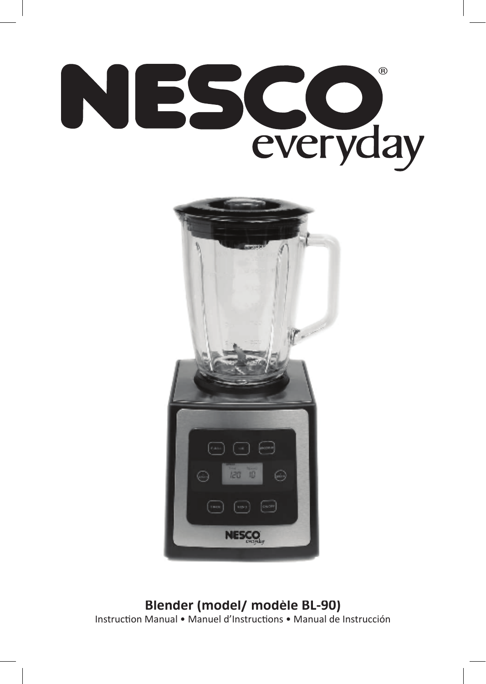



**Blender (model/ modèle BL-90)** Instruction Manual • Manuel d'Instructions • Manual de Instrucción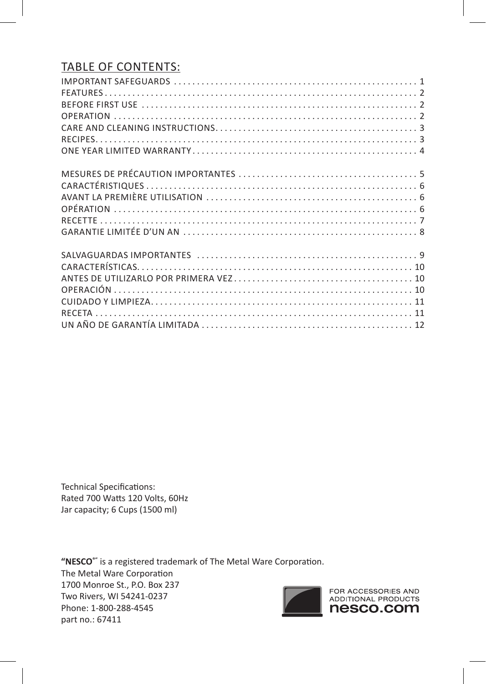# TABLE OF CONTENTS:

Technical Specifications: Rated 700 Watts 120 Volts, 60Hz Jar capacity; 6 Cups (1500 ml)

**"NESCO®"** is a registered trademark of The Metal Ware Corporation. The Metal Ware Corporation 1700 Monroe St., P.O. Box 237 Two Rivers, WI 54241-0237 Phone: 1-800-288-4545 part no.: 67411

FOR ACCESSORIES AND<br>ADDITIONAL PRODUCTS nesco.com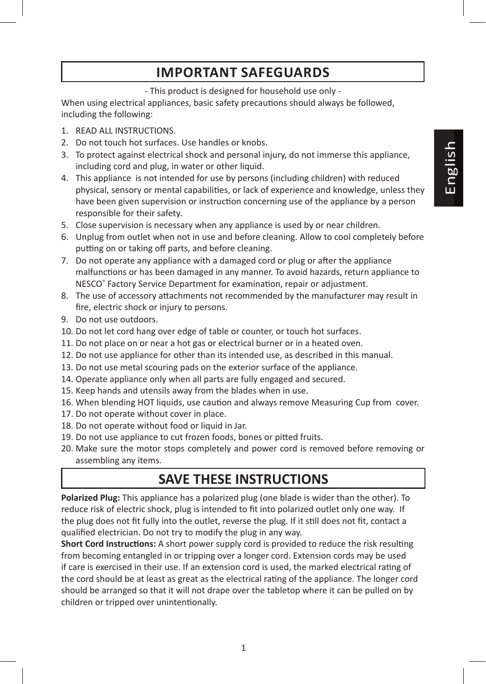# **IMPORTANT SAFEGUARDS**

- This product is designed for household use only -

When using electrical appliances, basic safety precautions should always be followed, including the following:

- 1. READ ALL INSTRUCTIONS.
- 2. Do not touch hot surfaces. Use handles or knobs.
- 3. To protect against electrical shock and personal injury, do not immerse this appliance, including cord and plug, in water or other liquid.
- 4. This appliance is not intended for use by persons (including children) with reduced physical, sensory or mental capabilities, or lack of experience and knowledge, unless they have been given supervision or instruction concerning use of the appliance by a person responsible for their safety.
- 5. Close supervision is necessary when any appliance is used by or near children.
- 6. Unplug from outlet when not in use and before cleaning. Allow to cool completely before putting on or taking off parts, and before cleaning.
- 7. Do not operate any appliance with a damaged cord or plug or after the appliance malfunctions or has been damaged in any manner. To avoid hazards, return appliance to NESCO® Factory Service Department for examination, repair or adjustment.
- 8. The use of accessory attachments not recommended by the manufacturer may result in fire, electric shock or injury to persons.
- 9. Do not use outdoors.
- 10. Do not let cord hang over edge of table or counter, or touch hot surfaces.
- 11. Do not place on or near a hot gas or electrical burner or in a heated oven.
- 12. Do not use appliance for other than its intended use, as described in this manual.
- 13. Do not use metal scouring pads on the exterior surface of the appliance.
- 14. Operate appliance only when all parts are fully engaged and secured.
- 15. Keep hands and utensils away from the blades when in use.
- 16. When blending HOT liquids, use caution and always remove Measuring Cup from cover.
- 17. Do not operate without cover in place.
- 18. Do not operate without food or liquid in Jar.
- 19. Do not use appliance to cut frozen foods, bones or pitted fruits.
- 20. Make sure the motor stops completely and power cord is removed before removing or assembling any items.

# **SAVE THESE INSTRUCTIONS**

**Polarized Plug:** This appliance has a polarized plug (one blade is wider than the other). To reduce risk of electric shock, plug is intended to fit into polarized outlet only one way. If the plug does not fit fully into the outlet, reverse the plug. If it still does not fit, contact a qualified electrician. Do not try to modify the plug in any way.

**Short Cord Instructions:** A short power supply cord is provided to reduce the risk resulting from becoming entangled in or tripping over a longer cord. Extension cords may be used if care is exercised in their use. If an extension cord is used, the marked electrical rating of the cord should be at least as great as the electrical rating of the appliance. The longer cord should be arranged so that it will not drape over the tabletop where it can be pulled on by children or tripped over unintentionally.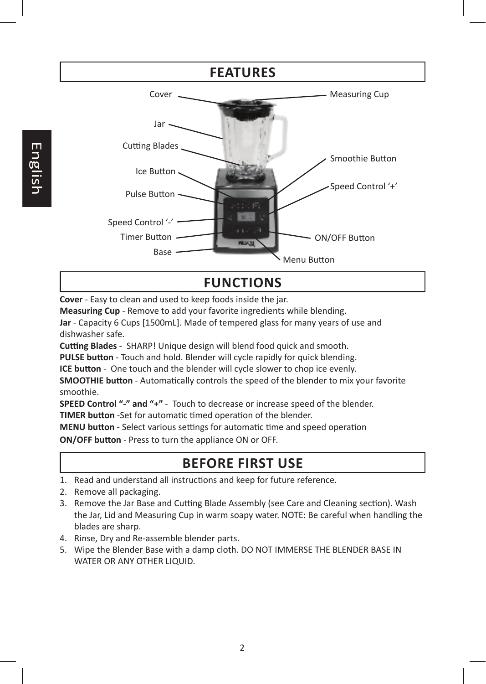

**Cover** - Easy to clean and used to keep foods inside the jar.

**Measuring Cup** - Remove to add your favorite ingredients while blending.

**Jar** - Capacity 6 Cups [1500mL]. Made of tempered glass for many years of use and dishwasher safe.

**Cutting Blades** - SHARP! Unique design will blend food quick and smooth.

**PULSE button** - Touch and hold. Blender will cycle rapidly for quick blending.

**ICE button** - One touch and the blender will cycle slower to chop ice evenly.

**SMOOTHIE button** - Automatically controls the speed of the blender to mix your favorite smoothie.

**SPEED Control "-" and "+"** - Touch to decrease or increase speed of the blender.

**TIMER button** -Set for automatic timed operation of the blender.

**MENU button** - Select various settings for automatic time and speed operation

**ON/OFF button** - Press to turn the appliance ON or OFF.

# **BEFORE FIRST USE**

- 1. Read and understand all instructions and keep for future reference.
- 2. Remove all packaging.
- 3. Remove the Jar Base and Cutting Blade Assembly (see Care and Cleaning section). Wash the Jar, Lid and Measuring Cup in warm soapy water. NOTE: Be careful when handling the blades are sharp.
- 4. Rinse, Dry and Re-assemble blender parts.
- 5. Wipe the Blender Base with a damp cloth. DO NOT IMMERSE THE BLENDER BASE IN WATER OR ANY OTHER LIQUID.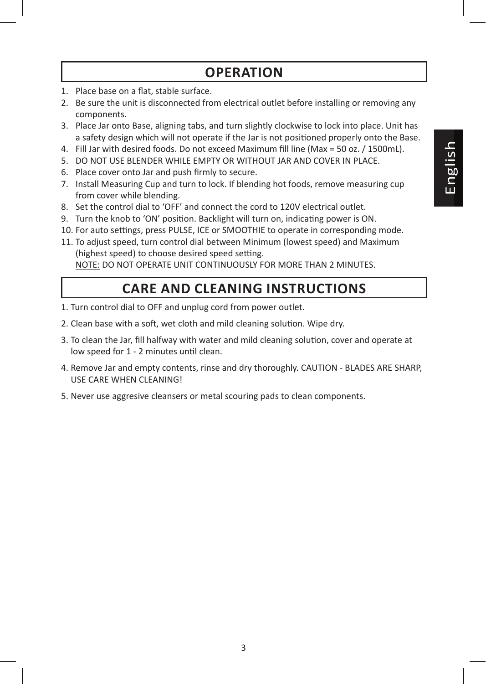# **OPERATION**

- 1. Place base on a flat, stable surface.
- 2. Be sure the unit is disconnected from electrical outlet before installing or removing any components.
- 3. Place Jar onto Base, aligning tabs, and turn slightly clockwise to lock into place. Unit has a safety design which will not operate if the Jar is not positioned properly onto the Base.
- 4. Fill Jar with desired foods. Do not exceed Maximum fill line (Max = 50 oz. / 1500mL).
- 5. DO NOT USE BLENDER WHILE EMPTY OR WITHOUT JAR AND COVER IN PLACE.
- 6. Place cover onto Jar and push firmly to secure.
- 7. Install Measuring Cup and turn to lock. If blending hot foods, remove measuring cup from cover while blending.
- 8. Set the control dial to 'OFF' and connect the cord to 120V electrical outlet.
- 9. Turn the knob to 'ON' position. Backlight will turn on, indicating power is ON.
- 10. For auto settings, press PULSE, ICE or SMOOTHIE to operate in corresponding mode.
- 11. To adjust speed, turn control dial between Minimum (lowest speed) and Maximum (highest speed) to choose desired speed setting.

NOTE: DO NOT OPERATE UNIT CONTINUOUSLY FOR MORE THAN 2 MINUTES.

# **CARE AND CLEANING INSTRUCTIONS**

- 1. Turn control dial to OFF and unplug cord from power outlet.
- 2. Clean base with a soft, wet cloth and mild cleaning solution. Wipe dry.
- 3. To clean the Jar, fill halfway with water and mild cleaning solution, cover and operate at low speed for 1 - 2 minutes until clean.
- 4. Remove Jar and empty contents, rinse and dry thoroughly. CAUTION BLADES ARE SHARP, USE CARE WHEN CLEANING!
- 5. Never use aggresive cleansers or metal scouring pads to clean components.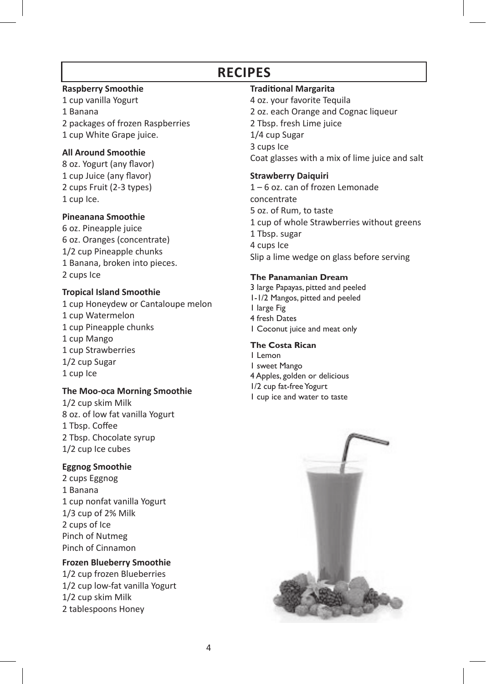# **RECIPES**

#### **Raspberry Smoothie**

1 cup vanilla Yogurt 1 Banana 2 packages of frozen Raspberries 1 cup White Grape juice.

#### **All Around Smoothie**

8 oz. Yogurt (any flavor) 1 cup Juice (any flavor) 2 cups Fruit (2-3 types) 1 cup Ice.

#### **Pineanana Smoothie**

6 oz. Pineapple juice 6 oz. Oranges (concentrate) 1/2 cup Pineapple chunks 1 Banana, broken into pieces. 2 cups Ice

### **Tropical Island Smoothie**

1 cup Honeydew or Cantaloupe melon 1 cup Watermelon 1 cup Pineapple chunks 1 cup Mango 1 cup Strawberries 1/2 cup Sugar 1 cup Ice

## **The Moo-oca Morning Smoothie**

1/2 cup skim Milk 8 oz. of low fat vanilla Yogurt 1 Tbsp. Coffee 2 Tbsp. Chocolate syrup 1/2 cup Ice cubes

### **Eggnog Smoothie**

2 cups Eggnog 1 Banana 1 cup nonfat vanilla Yogurt 1/3 cup of 2% Milk 2 cups of Ice Pinch of Nutmeg Pinch of Cinnamon

### **Frozen Blueberry Smoothie**

1/2 cup frozen Blueberries 1/2 cup low-fat vanilla Yogurt 1/2 cup skim Milk 2 tablespoons Honey

### **Traditional Margarita**

4 oz. your favorite Tequila 2 oz. each Orange and Cognac liqueur 2 Tbsp. fresh Lime juice 1/4 cup Sugar 3 cups Ice Coat glasses with a mix of lime juice and salt

### **Strawberry Daiquiri**

1 – 6 oz. can of frozen Lemonade concentrate 5 oz. of Rum, to taste 1 cup of whole Strawberries without greens 1 Tbsp. sugar 4 cups Ice Slip a lime wedge on glass before serving

### **The Panamanian Dream**

3 large Papayas, pitted and peeled 1-1/2 Mangos, pitted and peeled 1 large Fig 4 fresh Dates 1 Coconut juice and meat only

### **The Costa Rican**

1 Lemon 1 sweet Mango 4 Apples, golden or delicious 1/2 cup fat-free Yogurt 1 cup ice and water to taste

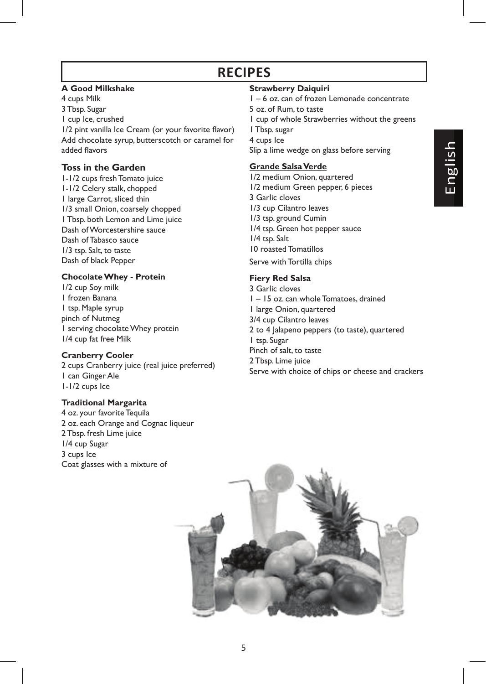# **RECIPES**

#### **A Good Milkshake**

4 cups Milk 3 Tbsp. Sugar 1 cup Ice, crushed 1/2 pint vanilla Ice Cream (or your favorite flavor) Add chocolate syrup, butterscotch or caramel for added flavors

### **Toss in the Garden**

1-1/2 cups fresh Tomato juice 1-1/2 Celery stalk, chopped 1 large Carrot, sliced thin 1/3 small Onion, coarsely chopped 1 Tbsp. both Lemon and Lime juice Dash of Worcestershire sauce Dash of Tabasco sauce 1/3 tsp. Salt, to taste Dash of black Pepper

#### **Chocolate Whey - Protein**

1/2 cup Soy milk 1 frozen Banana 1 tsp. Maple syrup pinch of Nutmeg 1 serving chocolate Whey protein 1/4 cup fat free Milk

#### **Cranberry Cooler**

2 cups Cranberry juice (real juice preferred) 1 can Ginger Ale 1-1/2 cups Ice

#### **Traditional Margarita**

4 oz. your favorite Tequila 2 oz. each Orange and Cognac liqueur 2 Tbsp. fresh Lime juice 1/4 cup Sugar 3 cups Ice Coat glasses with a mixture of

#### **Strawberry Daiquiri**

- 1 6 oz. can of frozen Lemonade concentrate
- 5 oz. of Rum, to taste
- 1 cup of whole Strawberries without the greens
- 1 Tbsp. sugar
- 4 cups Ice

Slip a lime wedge on glass before serving

#### **Grande Salsa Verde**

1/2 medium Onion, quartered 1/2 medium Green pepper, 6 pieces 3 Garlic cloves 1/3 cup Cilantro leaves 1/3 tsp. ground Cumin 1/4 tsp. Green hot pepper sauce 1/4 tsp. Salt 10 roasted Tomatillos Serve with Tortilla chips

#### **Fiery Red Salsa**

3 Garlic cloves 1 – 15 oz. can whole Tomatoes, drained 1 large Onion, quartered 3/4 cup Cilantro leaves 2 to 4 Jalapeno peppers (to taste), quartered 1 tsp. Sugar Pinch of salt, to taste 2 Tbsp. Lime juice Serve with choice of chips or cheese and crackers

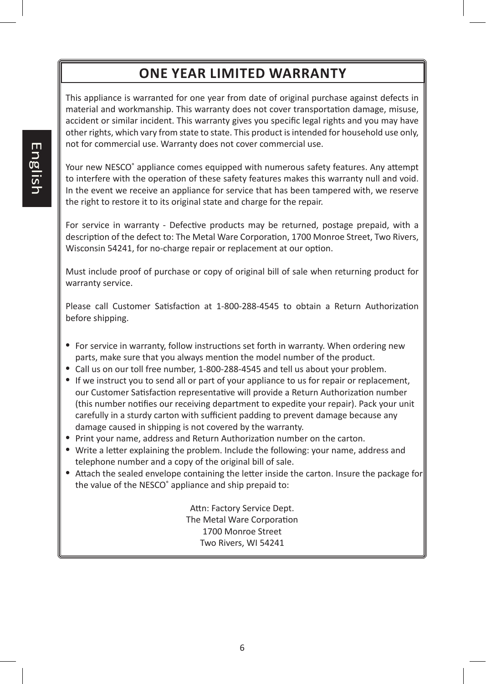# **ONE YEAR LIMITED WARRANTY**

This appliance is warranted for one year from date of original purchase against defects in material and workmanship. This warranty does not cover transportation damage, misuse, accident or similar incident. This warranty gives you specific legal rights and you may have other rights, which vary from state to state. This product is intended for household use only, not for commercial use. Warranty does not cover commercial use.

Your new NESCO<sup>®</sup> appliance comes equipped with numerous safety features. Any attempt to interfere with the operation of these safety features makes this warranty null and void. In the event we receive an appliance for service that has been tampered with, we reserve the right to restore it to its original state and charge for the repair.

For service in warranty - Defective products may be returned, postage prepaid, with a description of the defect to: The Metal Ware Corporation, 1700 Monroe Street, Two Rivers, Wisconsin 54241, for no-charge repair or replacement at our option.

Must include proof of purchase or copy of original bill of sale when returning product for warranty service.

Please call Customer Satisfaction at 1-800-288-4545 to obtain a Return Authorization before shipping.

- For service in warranty, follow instructions set forth in warranty. When ordering new parts, make sure that you always mention the model number of the product.
- Call us on our toll free number, 1-800-288-4545 and tell us about your problem.
- If we instruct you to send all or part of your appliance to us for repair or replacement, our Customer Satisfaction representative will provide a Return Authorization number (this number notifies our receiving department to expedite your repair). Pack your unit carefully in a sturdy carton with sufficient padding to prevent damage because any damage caused in shipping is not covered by the warranty.
- Print your name, address and Return Authorization number on the carton.
- Write a letter explaining the problem. Include the following: your name, address and telephone number and a copy of the original bill of sale.
- Attach the sealed envelope containing the letter inside the carton. Insure the package for the value of the NESCO® appliance and ship prepaid to:

Attn: Factory Service Dept. The Metal Ware Corporation 1700 Monroe Street Two Rivers, WI 54241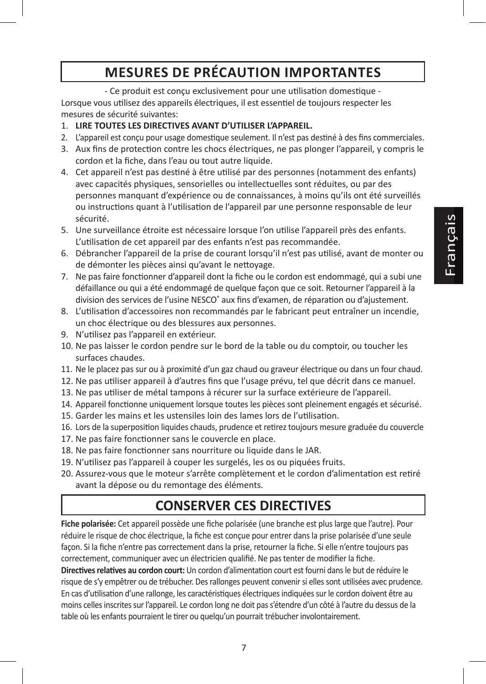# **MESURES DE PRÉCAUTION IMPORTANTES**

- Ce produit est conçu exclusivement pour une utilisation domestique - Lorsque vous utilisez des appareils électriques, il est essentiel de toujours respecter les mesures de sécurité suivantes:

- 1. **LIRE TOUTES LES DIRECTIVES AVANT D'UTILISER L'APPAREIL.**
- 2. L'appareil est conçu pour usage domestique seulement. Il n'est pas destiné à des fins commerciales.
- 3. Aux fins de protection contre les chocs électriques, ne pas plonger l'appareil, y compris le cordon et la fiche, dans l'eau ou tout autre liquide.
- 4. Cet appareil n'est pas destiné à être utilisé par des personnes (notamment des enfants) avec capacités physiques, sensorielles ou intellectuelles sont réduites, ou par des personnes manquant d'expérience ou de connaissances, à moins qu'ils ont été surveillés ou instructions quant à l'utilisation de l'appareil par une personne responsable de leur sécurité.
- 5. Une surveillance étroite est nécessaire lorsque l'on utilise l'appareil près des enfants. L'utilisation de cet appareil par des enfants n'est pas recommandée.
- 6. Débrancher l'appareil de la prise de courant lorsqu'il n'est pas utilisé, avant de monter ou de démonter les pièces ainsi qu'avant le nettoyage.
- 7. Ne pas faire fonctionner d'appareil dont la fiche ou le cordon est endommagé, qui a subi une défaillance ou qui a été endommagé de quelque façon que ce soit. Retourner l'appareil à la division des services de l'usine NESCO® aux fins d'examen, de réparation ou d'ajustement.
- 8. L'utilisation d'accessoires non recommandés par le fabricant peut entraîner un incendie, un choc électrique ou des blessures aux personnes.
- 9. N'utilisez pas l'appareil en extérieur.
- 10. Ne pas laisser le cordon pendre sur le bord de la table ou du comptoir, ou toucher les surfaces chaudes.
- 11. Ne le placez pas sur ou à proximité d'un gaz chaud ou graveur électrique ou dans un four chaud.
- 12. Ne pas utiliser appareil à d'autres fins que l'usage prévu, tel que décrit dans ce manuel.
- 13. Ne pas utiliser de métal tampons à récurer sur la surface extérieure de l'appareil.
- 14. Appareil fonctionne uniquement lorsque toutes les pièces sont pleinement engagés et sécurisé.
- 15. Garder les mains et les ustensiles loin des lames lors de l'utilisation.
- 16. Lors de la superposition liquides chauds, prudence et retirez toujours mesure graduée du couvercle
- 17. Ne pas faire fonctionner sans le couvercle en place.
- 18. Ne pas faire fonctionner sans nourriture ou liquide dans le JAR.
- 19. N'utilisez pas l'appareil à couper les surgelés, les os ou piquées fruits.
- 20. Assurez-vous que le moteur s'arrête complètement et le cordon d'alimentation est retiré avant la dépose ou du remontage des éléments.

# **CONSERVER CES DIRECTIVES**

**Fiche polarisée:** Cet appareil possède une fiche polarisée (une branche est plus large que l'autre). Pour réduire le risque de choc électrique, la fiche est conçue pour entrer dans la prise polarisée d'une seule façon. Si la fiche n'entre pas correctement dans la prise, retourner la fiche. Si elle n'entre toujours pas correctement, communiquer avec un électricien qualifié. Ne pas tenter de modifier la fiche.

**Directives relatives au cordon court:** Un cordon d'alimentation court est fourni dans le but de réduire le risque de s'y empêtrer ou de trébucher. Des rallonges peuvent convenir si elles sont utilisées avec prudence. En cas d'utilisation d'une rallonge, les caractéristiques électriques indiquées sur le cordon doivent être au moins celles inscrites sur l'appareil. Le cordon long ne doit pas s'étendre d'un côté à l'autre du dessus de la table où les enfants pourraient le tirer ou quelqu'un pourrait trébucher involontairement.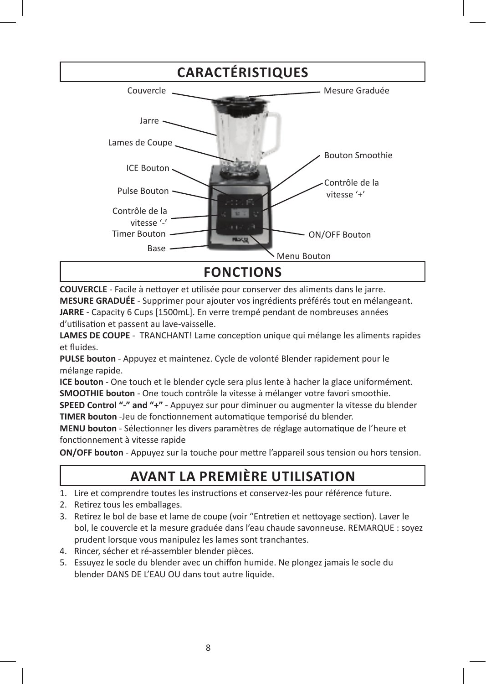

**COUVERCLE** - Facile à nettoyer et utilisée pour conserver des aliments dans le jarre.

**MESURE GRADUÉE** - Supprimer pour ajouter vos ingrédients préférés tout en mélangeant. **JARRE** - Capacity 6 Cups [1500mL]. En verre trempé pendant de nombreuses années d'utilisation et passent au lave-vaisselle.

**LAMES DE COUPE** - TRANCHANT! Lame conception unique qui mélange les aliments rapides et fluides.

**PULSE bouton** - Appuyez et maintenez. Cycle de volonté Blender rapidement pour le mélange rapide.

**ICE bouton** - One touch et le blender cycle sera plus lente à hacher la glace uniformément. **SMOOTHIE bouton** - One touch contrôle la vitesse à mélanger votre favori smoothie.

**SPEED Control "-" and "+"** - Appuyez sur pour diminuer ou augmenter la vitesse du blender **TIMER bouton** -Jeu de fonctionnement automatique temporisé du blender.

**MENU bouton** - Sélectionner les divers paramètres de réglage automatique de l'heure et fonctionnement à vitesse rapide

**ON/OFF bouton** - Appuyez sur la touche pour mettre l'appareil sous tension ou hors tension.

# **AVANT LA PREMIÈRE UTILISATION**

- 1. Lire et comprendre toutes les instructions et conservez-les pour référence future.
- 2. Retirez tous les emballages.
- 3. Retirez le bol de base et lame de coupe (voir "Entretien et nettoyage section). Laver le bol, le couvercle et la mesure graduée dans l'eau chaude savonneuse. REMARQUE : soyez prudent lorsque vous manipulez les lames sont tranchantes.
- 4. Rincer, sécher et ré-assembler blender pièces.
- 5. Essuyez le socle du blender avec un chiffon humide. Ne plongez jamais le socle du blender DANS DE L'EAU OU dans tout autre liquide.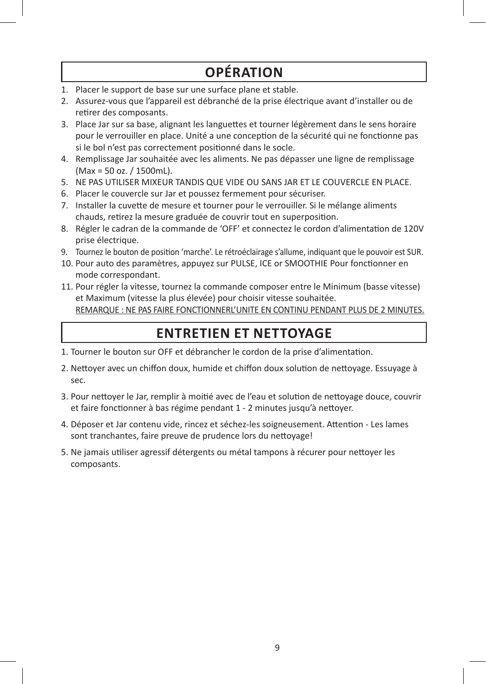# **OPÉRATION**

- 1. Placer le support de base sur une surface plane et stable.
- 2. Assurez-vous que l'appareil est débranché de la prise électrique avant d'installer ou de retirer des composants.
- 3. Place Jar sur sa base, alignant les languettes et tourner légèrement dans le sens horaire pour le verrouiller en place. Unité a une conception de la sécurité qui ne fonctionne pas si le bol n'est pas correctement positionné dans le socle.
- 4. Remplissage Jar souhaitée avec les aliments. Ne pas dépasser une ligne de remplissage (Max = 50 oz. / 1500mL).
- 5. NE PAS UTILISER MIXEUR TANDIS QUE VIDE OU SANS JAR ET LE COUVERCLE EN PLACE.
- 6. Placer le couvercle sur Jar et poussez fermement pour sécuriser.
- 7. Installer la cuvette de mesure et tourner pour le verrouiller. Si le mélange aliments chauds, retirez la mesure graduée de couvrir tout en superposition.
- 8. Régler le cadran de la commande de 'OFF' et connectez le cordon d'alimentation de 120V prise électrique.
- 9. Tournez le bouton de position 'marche'. Le rétroéclairage s'allume, indiquant que le pouvoir est SUR.
- 10. Pour auto des paramètres, appuyez sur PULSE, ICE or SMOOTHIE Pour fonctionner en mode correspondant.
- 11. Pour régler la vitesse, tournez la commande composer entre le Minimum (basse vitesse) et Maximum (vitesse la plus élevée) pour choisir vitesse souhaitée. REMARQUE : NE PAS FAIRE FONCTIONNERL'UNITE EN CONTINU PENDANT PLUS DE 2 MINUTES.

# **ENTRETIEN ET NETTOYAGE**

- 1. Tourner le bouton sur OFF et débrancher le cordon de la prise d'alimentation.
- 2. Nettoyer avec un chiffon doux, humide et chiffon doux solution de nettoyage. Essuyage à sec.
- 3. Pour nettoyer le Jar, remplir à moitié avec de l'eau et solution de nettoyage douce, couvrir et faire fonctionner à bas régime pendant 1 - 2 minutes jusqu'à nettoyer.
- 4. Déposer et Jar contenu vide, rincez et séchez-les soigneusement. Attention Les lames sont tranchantes, faire preuve de prudence lors du nettoyage!
- 5. Ne jamais utiliser agressif détergents ou métal tampons à récurer pour nettoyer les composants.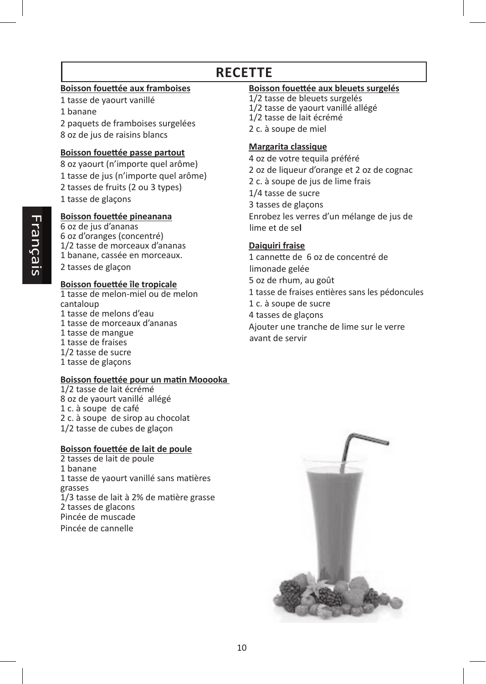# **RECETTE**

#### **Boisson fouettée aux framboises**

1 tasse de yaourt vanillé

1 banane

2 paquets de framboises surgelées 8 oz de jus de raisins blancs

#### **Boisson fouettée passe partout**

8 oz yaourt (n'importe quel arôme) 1 tasse de jus (n'importe quel arôme) 2 tasses de fruits (2 ou 3 types) 1 tasse de glaçons

### **Boisson fouettée pineanana**

6 oz de jus d'ananas 6 oz d'oranges (concentré) 1/2 tasse de morceaux d'ananas 1 banane, cassée en morceaux. 2 tasses de glaçon

#### **Boisson fouettée île tropicale**

1 tasse de melon-miel ou de melon cantaloup 1 tasse de melons d'eau 1 tasse de morceaux d'ananas 1 tasse de mangue 1 tasse de fraises 1/2 tasse de sucre 1 tasse de glaçons

#### **Boisson fouettée pour un matin Mooooka**

1/2 tasse de lait écrémé 8 oz de yaourt vanillé allégé 1 c. à soupe de café 2 c. à soupe de sirop au chocolat 1/2 tasse de cubes de glaçon

#### **Boisson fouettée de lait de poule**

2 tasses de lait de poule 1 banane 1 tasse de yaourt vanillé sans matières grasses 1/3 tasse de lait à 2% de matière grasse 2 tasses de glacons Pincée de muscade Pincée de cannelle

#### **Boisson fouettée aux bleuets surgelés**

1/2 tasse de bleuets surgelés 1/2 tasse de yaourt vanillé allégé 1/2 tasse de lait écrémé 2 c. à soupe de miel

#### **Margarita classique**

4 oz de votre tequila préféré 2 oz de liqueur d'orange et 2 oz de cognac 2 c. à soupe de jus de lime frais 1/4 tasse de sucre 3 tasses de glaçons Enrobez les verres d'un mélange de jus de lime et de se**l**

### **Daiquiri fraise**

1 cannette de 6 oz de concentré de limonade gelée 5 oz de rhum, au goût 1 tasse de fraises entières sans les pédoncules 1 c. à soupe de sucre 4 tasses de glaçons Ajouter une tranche de lime sur le verre avant de servir

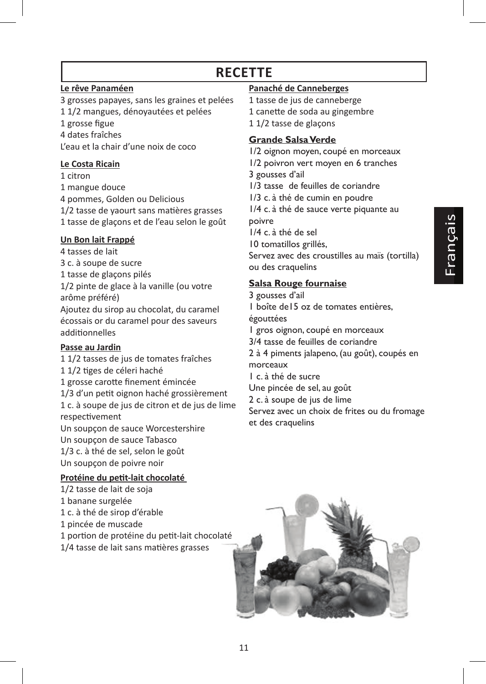# **RECETTE**

### **Le rêve Panaméen**

3 grosses papayes, sans les graines et pelées 1 1/2 mangues, dénoyautées et pelées

1 grosse figue

4 dates fraîches L'eau et la chair d'une noix de coco

## **Le Costa Ricain**

1 citron

1 mangue douce 4 pommes, Golden ou Delicious

1/2 tasse de yaourt sans matières grasses

1 tasse de glaçons et de l'eau selon le goût

# **Un Bon lait Frappé**

4 tasses de lait 3 c. à soupe de sucre 1 tasse de glaçons pilés 1/2 pinte de glace à la vanille (ou votre

arôme préféré) Ajoutez du sirop au chocolat, du caramel écossais or du caramel pour des saveurs additionnelles

# **Passe au Jardin**

1 1/2 tasses de jus de tomates fraîches 1 1/2 tiges de céleri haché 1 grosse carotte finement émincée 1/3 d'un petit oignon haché grossièrement 1 c. à soupe de jus de citron et de jus de lime respectivement Un soupçon de sauce Worcestershire Un soupçon de sauce Tabasco 1/3 c. à thé de sel, selon le goût Un soupçon de poivre noir

# **Protéine du petit-lait chocolaté**

- 1/2 tasse de lait de soja
- 1 banane surgelée
- 1 c. à thé de sirop d'érable
- 1 pincée de muscade
- 1 portion de protéine du petit-lait chocolaté
- 1/4 tasse de lait sans matières grasses

# **Panaché de Canneberges**

1 tasse de jus de canneberge 1 canette de soda au gingembre 1 1/2 tasse de glaçons

# **Grande Salsa Verde**

1/2 oignon moyen, coupé en morceaux 1/2 poivron vert moyen en 6 tranches 3 gousses d'ail 1/3 tasse de feuilles de coriandre 1/3 c. à thé de cumin en poudre 1/4 c. à thé de sauce verte piquante au poivre

1/4 c. à thé de sel

10 tomatillos grillés,

Servez avec des croustilles au maïs (tortilla) ou des craquelins

# **Salsa Rouge fournaise**

3 gousses d'ail

1 boîte de15 oz de tomates entières,

égouttées

1 gros oignon, coupé en morceaux

3/4 tasse de feuilles de coriandre

2 à 4 piments jalapeno, (au goût), coupés en morceaux

1 c. à thé de sucre

Une pincée de sel, au goût

2 c. à soupe de jus de lime

Servez avec un choix de frites ou du fromage et des craquelins

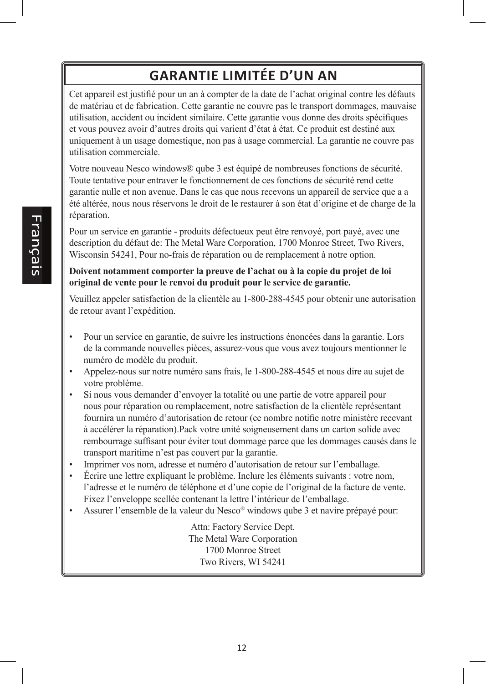# **GARANTIE LIMITÉE D'UN AN**

Cet appareil est justifié pour un an à compter de la date de l'achat original contre les défauts de matériau et de fabrication. Cette garantie ne couvre pas le transport dommages, mauvaise utilisation, accident ou incident similaire. Cette garantie vous donne des droits spécifiques et vous pouvez avoir d'autres droits qui varient d'état à état. Ce produit est destiné aux uniquement à un usage domestique, non pas à usage commercial. La garantie ne couvre pas utilisation commerciale.

Votre nouveau Nesco windows® qube 3 est équipé de nombreuses fonctions de sécurité. Toute tentative pour entraver le fonctionnement de ces fonctions de sécurité rend cette garantie nulle et non avenue. Dans le cas que nous recevons un appareil de service que a a été altérée, nous nous réservons le droit de le restaurer à son état d'origine et de charge de la réparation.

Pour un service en garantie - produits défectueux peut être renvoyé, port payé, avec une description du défaut de: The Metal Ware Corporation, 1700 Monroe Street, Two Rivers, Wisconsin 54241, Pour no-frais de réparation ou de remplacement à notre option.

#### **Doivent notamment comporter la preuve de l'achat ou à la copie du projet de loi original de vente pour le renvoi du produit pour le service de garantie.**

Veuillez appeler satisfaction de la clientèle au 1-800-288-4545 pour obtenir une autorisation de retour avant l'expédition.

- Pour un service en garantie, de suivre les instructions énoncées dans la garantie. Lors de la commande nouvelles pièces, assurez-vous que vous avez toujours mentionner le numéro de modèle du produit.
- Appelez-nous sur notre numéro sans frais, le 1-800-288-4545 et nous dire au sujet de votre problème.
- Si nous vous demander d'envoyer la totalité ou une partie de votre appareil pour nous pour réparation ou remplacement, notre satisfaction de la clientèle représentant fournira un numéro d'autorisation de retour (ce nombre notifie notre ministère recevant à accélérer la réparation).Pack votre unité soigneusement dans un carton solide avec rembourrage suffisant pour éviter tout dommage parce que les dommages causés dans le transport maritime n'est pas couvert par la garantie.
- Imprimer vos nom, adresse et numéro d'autorisation de retour sur l'emballage.
- Écrire une lettre expliquant le problème. Inclure les éléments suivants : votre nom, l'adresse et le numéro de téléphone et d'une copie de l'original de la facture de vente. Fixez l'enveloppe scellée contenant la lettre l'intérieur de l'emballage.
- Assurer l'ensemble de la valeur du Nesco® windows qube 3 et navire prépayé pour:

Attn: Factory Service Dept. The Metal Ware Corporation 1700 Monroe Street Two Rivers, WI 54241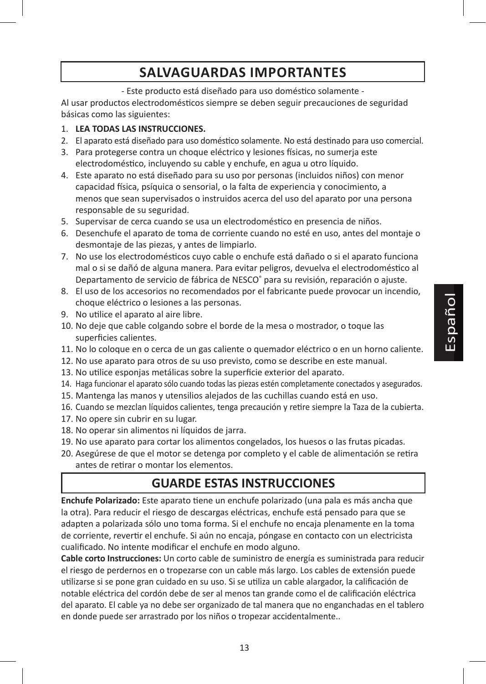# **SALVAGUARDAS IMPORTANTES**

- Este producto está diseñado para uso doméstico solamente -

Al usar productos electrodomésticos siempre se deben seguir precauciones de seguridad básicas como las siguientes:

### 1. **LEA TODAS LAS INSTRUCCIONES.**

- 2. El aparato está diseñado para uso doméstico solamente. No está destinado para uso comercial.
- 3. Para protegerse contra un choque eléctrico y lesiones físicas, no sumerja este electrodoméstico, incluyendo su cable y enchufe, en agua u otro líquido.
- 4. Este aparato no está diseñado para su uso por personas (incluidos niños) con menor capacidad física, psíquica o sensorial, o la falta de experiencia y conocimiento, a menos que sean supervisados o instruidos acerca del uso del aparato por una persona responsable de su seguridad.
- 5. Supervisar de cerca cuando se usa un electrodoméstico en presencia de niños.
- 6. Desenchufe el aparato de toma de corriente cuando no esté en uso, antes del montaje o desmontaje de las piezas, y antes de limpiarlo.
- 7. No use los electrodomésticos cuyo cable o enchufe está dañado o si el aparato funciona mal o si se dañó de alguna manera. Para evitar peligros, devuelva el electrodoméstico al Departamento de servicio de fábrica de NESCO® para su revisión, reparación o ajuste.
- 8. El uso de los accesorios no recomendados por el fabricante puede provocar un incendio, choque eléctrico o lesiones a las personas.
- 9. No utilice el aparato al aire libre.
- 10. No deje que cable colgando sobre el borde de la mesa o mostrador, o toque las superficies calientes.
- 11. No lo coloque en o cerca de un gas caliente o quemador eléctrico o en un horno caliente.
- 12. No use aparato para otros de su uso previsto, como se describe en este manual.
- 13. No utilice esponjas metálicas sobre la superficie exterior del aparato.
- 14. Haga funcionar el aparato sólo cuando todas las piezas estén completamente conectados y asegurados.
- 15. Mantenga las manos y utensilios alejados de las cuchillas cuando está en uso.
- 16. Cuando se mezclan líquidos calientes, tenga precaución y retire siempre la Taza de la cubierta.
- 17. No opere sin cubrir en su lugar.
- 18. No operar sin alimentos ni líquidos de jarra.
- 19. No use aparato para cortar los alimentos congelados, los huesos o las frutas picadas.
- 20. Asegúrese de que el motor se detenga por completo y el cable de alimentación se retira antes de retirar o montar los elementos.

# **GUARDE ESTAS INSTRUCCIONES**

**Enchufe Polarizado:** Este aparato tiene un enchufe polarizado (una pala es más ancha que la otra). Para reducir el riesgo de descargas eléctricas, enchufe está pensado para que se adapten a polarizada sólo uno toma forma. Si el enchufe no encaja plenamente en la toma de corriente, revertir el enchufe. Si aún no encaja, póngase en contacto con un electricista cualificado. No intente modificar el enchufe en modo alguno.

**Cable corto Instrucciones:** Un corto cable de suministro de energía es suministrada para reducir el riesgo de perdernos en o tropezarse con un cable más largo. Los cables de extensión puede utilizarse si se pone gran cuidado en su uso. Si se utiliza un cable alargador, la calificación de notable eléctrica del cordón debe de ser al menos tan grande como el de calificación eléctrica del aparato. El cable ya no debe ser organizado de tal manera que no enganchadas en el tablero en donde puede ser arrastrado por los niños o tropezar accidentalmente..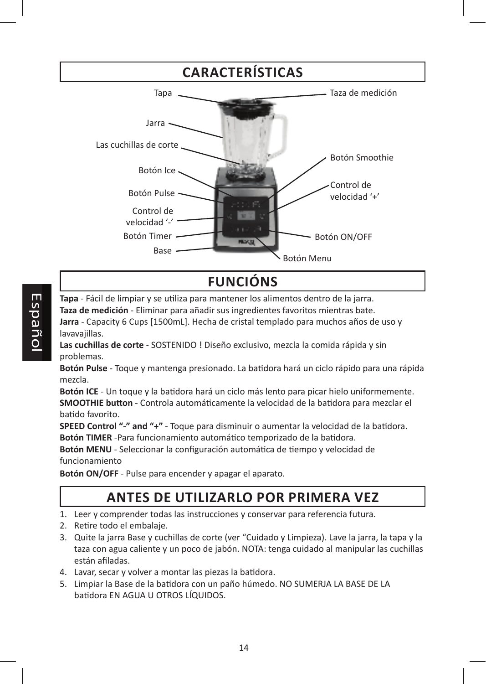

# **FUNCIÓNS**

**Tapa** - Fácil de limpiar y se utiliza para mantener los alimentos dentro de la jarra. **Taza de medición** - Eliminar para añadir sus ingredientes favoritos mientras bate. **Jarra** - Capacity 6 Cups [1500mL]. Hecha de cristal templado para muchos años de uso y lavavajillas.

**Las cuchillas de corte** - SOSTENIDO ! Diseño exclusivo, mezcla la comida rápida y sin problemas.

**Botón Pulse** - Toque y mantenga presionado. La batidora hará un ciclo rápido para una rápida mezcla.

**Botón ICE** - Un toque y la batidora hará un ciclo más lento para picar hielo uniformemente. **SMOOTHIE button** - Controla automáticamente la velocidad de la batidora para mezclar el batido favorito.

**SPEED Control "-" and "+"** - Toque para disminuir o aumentar la velocidad de la batidora. **Botón TIMER** -Para funcionamiento automático temporizado de la batidora.

**Botón MENU** - Seleccionar la configuración automática de tiempo y velocidad de funcionamiento

**Botón ON/OFF** - Pulse para encender y apagar el aparato.

# **ANTES DE UTILIZARLO POR PRIMERA VEZ**

- 1. Leer y comprender todas las instrucciones y conservar para referencia futura.
- 2. Retire todo el embalaje.
- 3. Quite la jarra Base y cuchillas de corte (ver "Cuidado y Limpieza). Lave la jarra, la tapa y la taza con agua caliente y un poco de jabón. NOTA: tenga cuidado al manipular las cuchillas están afiladas.
- 4. Lavar, secar y volver a montar las piezas la batidora.
- 5. Limpiar la Base de la batidora con un paño húmedo. NO SUMERJA LA BASE DE LA batidora EN AGUA U OTROS LÍQUIDOS.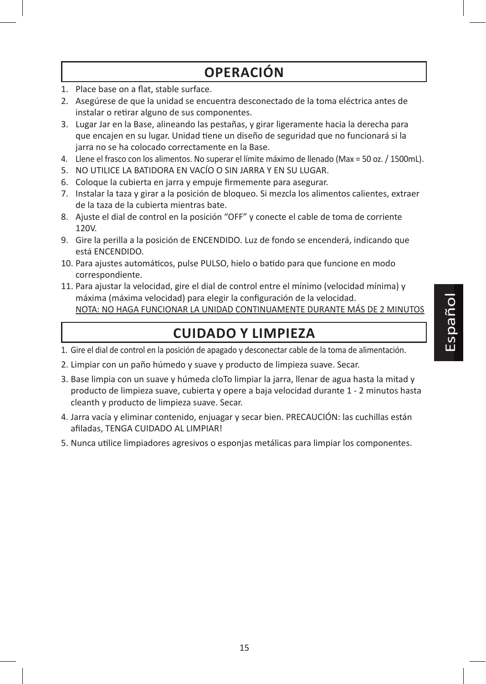# **OPERACIÓN**

- 1. Place base on a flat, stable surface.
- 2. Asegúrese de que la unidad se encuentra desconectado de la toma eléctrica antes de instalar o retirar alguno de sus componentes.
- 3. Lugar Jar en la Base, alineando las pestañas, y girar ligeramente hacia la derecha para que encajen en su lugar. Unidad tiene un diseño de seguridad que no funcionará si la jarra no se ha colocado correctamente en la Base.
- 4. Llene el frasco con los alimentos. No superar el límite máximo de llenado (Max = 50 oz. / 1500mL).
- 5. NO UTILICE LA BATIDORA EN VACÍO O SIN JARRA Y EN SU LUGAR.
- 6. Coloque la cubierta en jarra y empuje firmemente para asegurar.
- 7. Instalar la taza y girar a la posición de bloqueo. Si mezcla los alimentos calientes, extraer de la taza de la cubierta mientras bate.
- 8. Ajuste el dial de control en la posición "OFF" y conecte el cable de toma de corriente 120V.
- 9. Gire la perilla a la posición de ENCENDIDO. Luz de fondo se encenderá, indicando que está ENCENDIDO.
- 10. Para ajustes automáticos, pulse PULSO, hielo o batido para que funcione en modo correspondiente.
- 11. Para ajustar la velocidad, gire el dial de control entre el mínimo (velocidad mínima) y máxima (máxima velocidad) para elegir la configuración de la velocidad. NOTA: NO HAGA FUNCIONAR LA UNIDAD CONTINUAMENTE DURANTE MÁS DE 2 MINUTOS

# **CUIDADO Y LIMPIEZA**

- 1. Gire el dial de control en la posición de apagado y desconectar cable de la toma de alimentación.
- 2. Limpiar con un paño húmedo y suave y producto de limpieza suave. Secar.
- 3. Base limpia con un suave y húmeda cloTo limpiar la jarra, llenar de agua hasta la mitad y producto de limpieza suave, cubierta y opere a baja velocidad durante 1 - 2 minutos hasta cleanth y producto de limpieza suave. Secar.
- 4. Jarra vacía y eliminar contenido, enjuagar y secar bien. PRECAUCIÓN: las cuchillas están afiladas, TENGA CUIDADO AL LIMPIAR!
- 5. Nunca utilice limpiadores agresivos o esponjas metálicas para limpiar los componentes.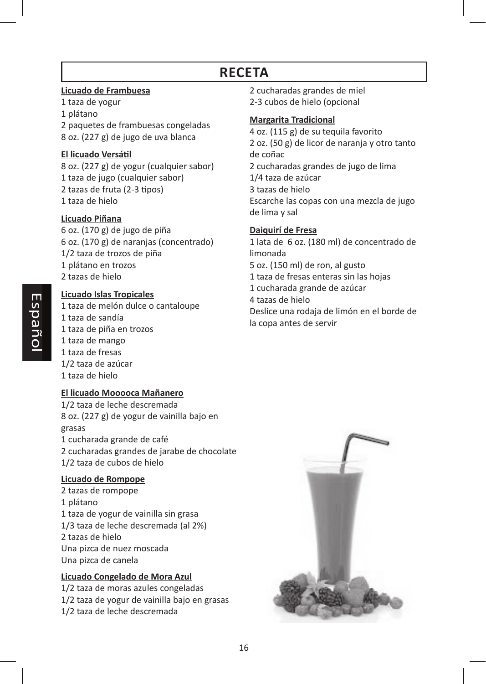# **RECETA**

### **Licuado de Frambuesa**

1 taza de yogur 1 plátano 2 paquetes de frambuesas congeladas 8 oz. (227 g) de jugo de uva blanca

### **El licuado Versátil**

8 oz. (227 g) de yogur (cualquier sabor) 1 taza de jugo (cualquier sabor) 2 tazas de fruta (2-3 tipos) 1 taza de hielo

## **Licuado Piñana**

6 oz. (170 g) de jugo de piña 6 oz. (170 g) de naranjas (concentrado) 1/2 taza de trozos de piña 1 plátano en trozos 2 tazas de hielo

## **Licuado Islas Tropicales**

1 taza de melón dulce o cantaloupe 1 taza de sandía 1 taza de piña en trozos 1 taza de mango 1 taza de fresas 1/2 taza de azúcar 1 taza de hielo

## **El licuado Mooooca Mañanero**

1/2 taza de leche descremada 8 oz. (227 g) de yogur de vainilla bajo en grasas 1 cucharada grande de café 2 cucharadas grandes de jarabe de chocolate 1/2 taza de cubos de hielo

### **Licuado de Rompope**

2 tazas de rompope 1 plátano 1 taza de yogur de vainilla sin grasa 1/3 taza de leche descremada (al 2%) 2 tazas de hielo Una pizca de nuez moscada Una pizca de canela

## **Licuado Congelado de Mora Azul**

1/2 taza de moras azules congeladas 1/2 taza de yogur de vainilla bajo en grasas 1/2 taza de leche descremada

- 2 cucharadas grandes de miel
- 2-3 cubos de hielo (opcional

### **Margarita Tradicional**

4 oz. (115 g) de su tequila favorito 2 oz. (50 g) de licor de naranja y otro tanto de coñac 2 cucharadas grandes de jugo de lima 1/4 taza de azúcar 3 tazas de hielo Escarche las copas con una mezcla de jugo de lima y sal

### **Daiquirí de Fresa**

1 lata de 6 oz. (180 ml) de concentrado de limonada 5 oz. (150 ml) de ron, al gusto 1 taza de fresas enteras sin las hojas 1 cucharada grande de azúcar 4 tazas de hielo Deslice una rodaja de limón en el borde de la copa antes de servir

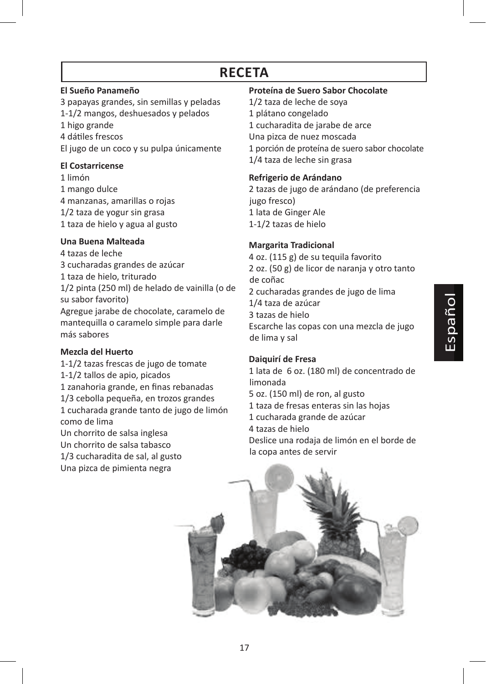# **RECETA**

### **El Sueño Panameño**

3 papayas grandes, sin semillas y peladas 1-1/2 mangos, deshuesados y pelados

- 1 higo grande
- 4 dátiles frescos

El jugo de un coco y su pulpa únicamente

## **El Costarricense**

1 limón 1 mango dulce 4 manzanas, amarillas o rojas 1/2 taza de yogur sin grasa 1 taza de hielo y agua al gusto

# **Una Buena Malteada**

4 tazas de leche

3 cucharadas grandes de azúcar 1 taza de hielo, triturado

1/2 pinta (250 ml) de helado de vainilla (o de su sabor favorito)

Agregue jarabe de chocolate, caramelo de mantequilla o caramelo simple para darle más sabores

## **Mezcla del Huerto**

1-1/2 tazas frescas de jugo de tomate 1-1/2 tallos de apio, picados 1 zanahoria grande, en finas rebanadas 1/3 cebolla pequeña, en trozos grandes 1 cucharada grande tanto de jugo de limón como de lima Un chorrito de salsa inglesa Un chorrito de salsa tabasco

1/3 cucharadita de sal, al gusto Una pizca de pimienta negra

### **Proteína de Suero Sabor Chocolate**

1/2 taza de leche de soya 1 plátano congelado 1 cucharadita de jarabe de arce Una pizca de nuez moscada 1 porción de proteína de suero sabor chocolate 1/4 taza de leche sin grasa

# **Refrigerio de Arándano**

2 tazas de jugo de arándano (de preferencia jugo fresco) 1 lata de Ginger Ale 1-1/2 tazas de hielo

# **Margarita Tradicional**

4 oz. (115 g) de su tequila favorito 2 oz. (50 g) de licor de naranja y otro tanto de coñac 2 cucharadas grandes de jugo de lima 1/4 taza de azúcar 3 tazas de hielo Escarche las copas con una mezcla de jugo de lima y sal

## **Daiquirí de Fresa**

1 lata de 6 oz. (180 ml) de concentrado de limonada 5 oz. (150 ml) de ron, al gusto 1 taza de fresas enteras sin las hojas 1 cucharada grande de azúcar 4 tazas de hielo Deslice una rodaja de limón en el borde de la copa antes de servir

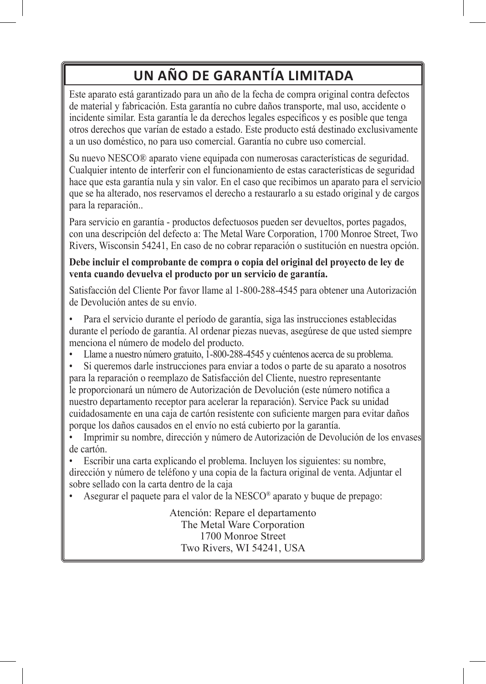# **UN AÑO DE GARANTÍA LIMITADA**

Este aparato está garantizado para un año de la fecha de compra original contra defectos de material y fabricación. Esta garantía no cubre daños transporte, mal uso, accidente o incidente similar. Esta garantía le da derechos legales específicos y es posible que tenga otros derechos que varían de estado a estado. Este producto está destinado exclusivamente a un uso doméstico, no para uso comercial. Garantía no cubre uso comercial.

Su nuevo NESCO® aparato viene equipada con numerosas características de seguridad. Cualquier intento de interferir con el funcionamiento de estas características de seguridad hace que esta garantía nula y sin valor. En el caso que recibimos un aparato para el servicio que se ha alterado, nos reservamos el derecho a restaurarlo a su estado original y de cargos para la reparación..

Para servicio en garantía - productos defectuosos pueden ser devueltos, portes pagados, con una descripción del defecto a: The Metal Ware Corporation, 1700 Monroe Street, Two Rivers, Wisconsin 54241, En caso de no cobrar reparación o sustitución en nuestra opción.

## **Debe incluir el comprobante de compra o copia del original del proyecto de ley de venta cuando devuelva el producto por un servicio de garantía.**

Satisfacción del Cliente Por favor llame al 1-800-288-4545 para obtener una Autorización de Devolución antes de su envío.

• Para el servicio durante el período de garantía, siga las instrucciones establecidas durante el período de garantía. Al ordenar piezas nuevas, asegúrese de que usted siempre menciona el número de modelo del producto.

- Llame a nuestro número gratuito, 1-800-288-4545 y cuéntenos acerca de su problema.
- Si queremos darle instrucciones para enviar a todos o parte de su aparato a nosotros para la reparación o reemplazo de Satisfacción del Cliente, nuestro representante le proporcionará un número de Autorización de Devolución (este número notifica a nuestro departamento receptor para acelerar la reparación). Service Pack su unidad cuidadosamente en una caja de cartón resistente con suficiente margen para evitar daños porque los daños causados en el envío no está cubierto por la garantía.
- Imprimir su nombre, dirección y número de Autorización de Devolución de los envases de cartón.

• Escribir una carta explicando el problema. Incluyen los siguientes: su nombre, dirección y número de teléfono y una copia de la factura original de venta. Adjuntar el sobre sellado con la carta dentro de la caja

• Asegurar el paquete para el valor de la NESCO® aparato y buque de prepago:

Atención: Repare el departamento The Metal Ware Corporation 1700 Monroe Street Two Rivers, WI 54241, USA